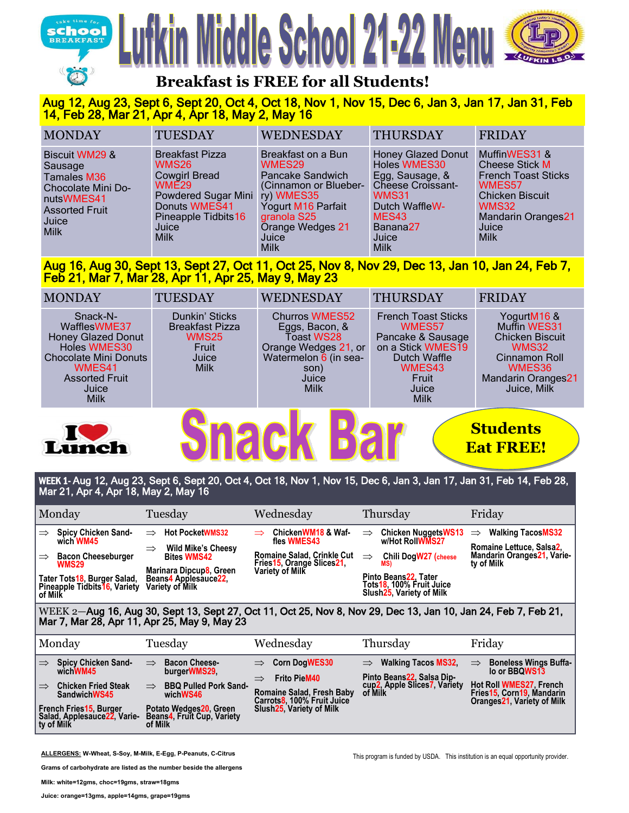

# ddle School 21-22 M



## **Breakfast is FREE for all Students!**

### Aug 12, Aug 23, Sept 6, Sept 20, Oct 4, Oct 18, Nov 1, Nov 15, Dec 6, Jan 3, Jan 17, Jan 31, Feb 14, Feb 28, Mar 21, Apr 4, Apr 18, May 2, May 16

| <b>MONDAY</b>                                                                                                                            | <b>TUESDAY</b>                                                                                                                                                      | <b>WEDNESDAY</b>                                                                                                                                           | <b>THURSDAY</b>                                                                                                                                                                   | <b>FRIDAY</b>                                                                                                                                                          |
|------------------------------------------------------------------------------------------------------------------------------------------|---------------------------------------------------------------------------------------------------------------------------------------------------------------------|------------------------------------------------------------------------------------------------------------------------------------------------------------|-----------------------------------------------------------------------------------------------------------------------------------------------------------------------------------|------------------------------------------------------------------------------------------------------------------------------------------------------------------------|
| <b>Biscuit WM29 &amp;</b><br>Sausage<br>Tamales M36<br>Chocolate Mini Do-<br>nutsWMES41<br><b>Assorted Fruit</b><br>Juice<br><b>Milk</b> | <b>Breakfast Pizza</b><br>WMS26<br><b>Cowgirl Bread</b><br>WME29<br>Powdered Sugar Mini ry) WMES35<br>Donuts WMES41<br>Pineapple Tidbits 16<br>Juice<br><b>Milk</b> | Breakfast on a Bun<br>WMES29<br>Pancake Sandwich<br>(Cinnamon or Blueber-<br>Yogurt M16 Parfait<br>granola S25<br>Orange Wedges 21<br>Juice<br><b>Milk</b> | <b>Honey Glazed Donut</b><br>Holes WMES30<br>Egg, Sausage, &<br>Cheese Croissant-<br>WMS31<br>Dutch WaffleW-<br>MES <sub>43</sub><br>Banana <sub>27</sub><br>Juice<br><b>Milk</b> | MuffinWES31 &<br><b>Cheese Stick M</b><br><b>French Toast Sticks</b><br>WMES57<br><b>Chicken Biscuit</b><br>WMS32<br><b>Mandarin Oranges21</b><br>Juice<br><b>Milk</b> |

#### Aug 16, Aug 30, Sept 13, Sept 27, Oct 11, Oct 25, Nov 8, Nov 29, Dec 13, Jan 10, Jan 24, Feb 7, Feb 21, Mar 7, Mar 28, Apr 11, Apr 25, May 9, May 23

| <b>MONDAY</b>                                                                                                                                                    | <b>TUESDAY</b>                                                                            | WEDNESDAY                                                                                                                              | <b>THURSDAY</b>                                                                                                                                  | <b>FRIDAY</b>                                                                                                                                |  |  |
|------------------------------------------------------------------------------------------------------------------------------------------------------------------|-------------------------------------------------------------------------------------------|----------------------------------------------------------------------------------------------------------------------------------------|--------------------------------------------------------------------------------------------------------------------------------------------------|----------------------------------------------------------------------------------------------------------------------------------------------|--|--|
| Snack-N-<br>WafflesWME37<br><b>Honey Glazed Donut</b><br>Holes WMES30<br><b>Chocolate Mini Donuts</b><br>WMES41<br><b>Assorted Fruit</b><br>Juice<br><b>Milk</b> | Dunkin' Sticks<br><b>Breakfast Pizza</b><br><b>WMS25</b><br>Fruit<br>Juice<br><b>Milk</b> | <b>Churros WMES52</b><br>Eggs, Bacon, &<br>Toast WS28<br>Orange Wedges 21, or<br>Watermelon 6 (in sea-<br>son)<br>Juice<br><b>Milk</b> | <b>French Toast Sticks</b><br>WMES57<br>Pancake & Sausage<br>on a Stick WMES19<br><b>Dutch Waffle</b><br>WMES43<br>Fruit<br>Juice<br><b>Milk</b> | YogurtM16 &<br>Muffin WES31<br><b>Chicken Biscuit</b><br><b>WMS32</b><br>Cinnamon Roll<br>WMES36<br><b>Mandarin Oranges21</b><br>Juice, Milk |  |  |
| <b>Students</b><br>Lunch<br><b>Eat FREE!</b>                                                                                                                     |                                                                                           |                                                                                                                                        |                                                                                                                                                  |                                                                                                                                              |  |  |

#### WEEK 1- Aug 12, Aug 23, Sept 6, Sept 20, Oct 4, Oct 18, Nov 1, Nov 15, Dec 6, Jan 3, Jan 17, Jan 31, Feb 14, Feb 28, Mar 21, Apr 4, Apr 18, May 2, May 16

| Monday                                                                                                                                                                                        | Tuesday                                                                                                                                                                                  | Wednesday                                                                                                                                                             | Thursday                                                                                                                                                                                              | Friday                                                                                                                                                            |  |  |
|-----------------------------------------------------------------------------------------------------------------------------------------------------------------------------------------------|------------------------------------------------------------------------------------------------------------------------------------------------------------------------------------------|-----------------------------------------------------------------------------------------------------------------------------------------------------------------------|-------------------------------------------------------------------------------------------------------------------------------------------------------------------------------------------------------|-------------------------------------------------------------------------------------------------------------------------------------------------------------------|--|--|
| Spicy Chicken Sand-<br>$\Rightarrow$<br>wich WM45<br><b>Bacon Cheeseburger</b><br>$\Rightarrow$<br><b>WMS29</b><br>Tater Tots18, Burger Salad,<br>Pineapple Tidbits 16, Variety<br>of Milk    | <b>Hot PocketWMS32</b><br>$\Rightarrow$<br><b>Wild Mike's Cheesy</b><br>$\Rightarrow$<br><b>Bites WMS42</b><br>Marinara Dipcup8, Green<br>Beans4 Applesauce22,<br><b>Variety of Milk</b> | ChickenWM18 & Waf-<br>$\Rightarrow$<br>fles WMES43<br><b>Romaine Salad, Crinkle Cut</b><br>Fries15, Orange Slices21,<br>Variety of Milk                               | <b>Chicken NuggetsWS13</b><br>$\Rightarrow$<br>w/Hot RollWMS27<br><b>Chili DogW27</b> (cheese<br>$\Rightarrow$<br>MS)<br>Pinto Beans22, Tater<br>Tots18, 100% Fruit Juice<br>Slush25, Variety of Milk | <b>Walking TacosMS32</b><br>$\Rightarrow$<br>Romaine Lettuce, Salsa2,<br>Mandarin Oranges21, Varie-<br>ty of Milk                                                 |  |  |
| WEEK 2-Aug 16, Aug 30, Sept 13, Sept 27, Oct 11, Oct 25, Nov 8, Nov 29, Dec 13, Jan 10, Jan 24, Feb 7, Feb 21,<br>Mar 7, Mar 28, Apr 11, Apr 25, May 9, May 23                                |                                                                                                                                                                                          |                                                                                                                                                                       |                                                                                                                                                                                                       |                                                                                                                                                                   |  |  |
| Monday                                                                                                                                                                                        | Tuesday                                                                                                                                                                                  | Wednesday                                                                                                                                                             | Thursday                                                                                                                                                                                              | Friday                                                                                                                                                            |  |  |
| <b>Spicy Chicken Sand-</b><br>$\Rightarrow$<br>wichWM45<br><b>Chicken Fried Steak</b><br>$\Rightarrow$<br>SandwichWS45<br>French Fries15, Burger<br>Salad, Applesauce22, Varie-<br>ty of Milk | <b>Bacon Cheese-</b><br>$\Rightarrow$<br>burgerWMS29.<br><b>BBQ Pulled Pork Sand-</b><br>$\Rightarrow$<br>wichWS46<br>Potato Wedges20, Green<br>Beans4, Fruit Cup, Variety<br>of Milk    | <b>Corn DogWES30</b><br>$\Rightarrow$<br><b>Frito PieM40</b><br>$\Rightarrow$<br>Romaine Salad, Fresh Baby<br>Carrots8, 100% Fruit Juice<br>Slush 25, Variety of Milk | <b>Walking Tacos MS32.</b><br>$\Rightarrow$<br>Pinto Beans22, Salsa Dip-<br>cup2, Apple Slices7, Variety                                                                                              | <b>Boneless Wings Buffa-</b><br>$\Rightarrow$<br>lo or BBQWS13<br><b>Hot Roll WMES27 French</b><br>Fries15, Corn19, Mandarin<br><b>Oranges21, Variety of Milk</b> |  |  |

**ALLERGENS: W-Wheat, S-Soy, M-Milk, E-Egg, P-Peanuts, C-Citrus**

**Grams of carbohydrate are listed as the number beside the allergens**

**Milk: white=12gms, choc=19gms, straw=18gms**